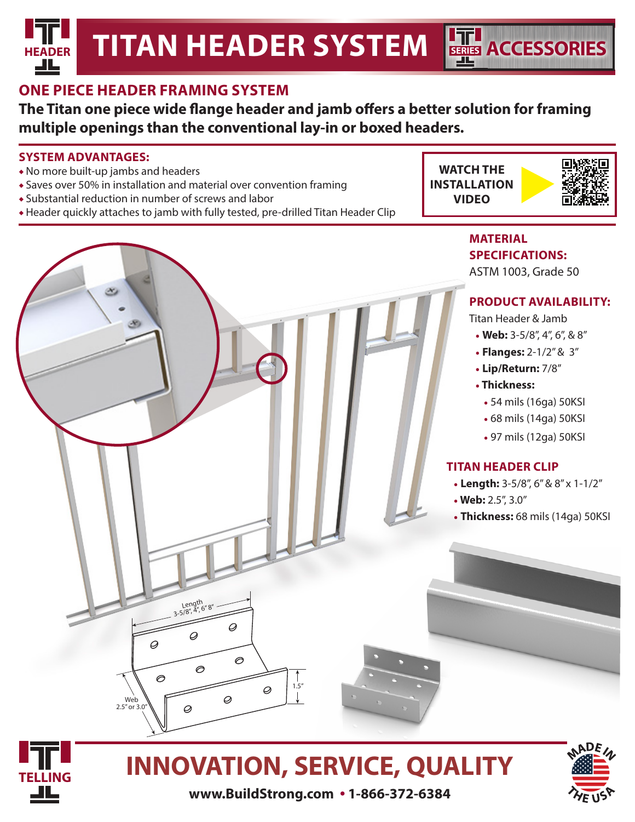### **ONE PIECE HEADER FRAMING SYSTEM**

**The Titan one piece wide flange header and jamb offers a better solution for framing multiple openings than the conventional lay-in or boxed headers.**

#### **SYSTEM ADVANTAGES:**

- ◆ No more built-up jambs and headers
- ◆ Saves over 50% in installation and material over convention framing
- ◆ Substantial reduction in number of screws and labor
- ◆ Header quickly attaches to jamb with fully tested, pre-drilled Titan Header Clip





#### **MATERIAL SPECIFICATIONS:**

ASTM 1003, Grade 50

**SERIES ACCESSORIES**

#### **PRODUCT AVAILABILITY:**

Titan Header & Jamb

- **Web:** 3-5/8", 4", 6", & 8"
- **Flanges:** 2-1/2" & 3"
- **Lip/Return:** 7/8"
- • **Thickness:**
	- 54 mils (16ga) 50KSI
	- 68 mils (14ga) 50KSI
	- 97 mils (12ga) 50KSI

#### **TITAN HEADER CLIP**

- **Length:** 3-5/8", 6" & 8" x 1-1/2"
- • **Web:** 2.5", 3.0"
- **Thickness:** 68 mils (14ga) 50KSI



Web  $2.5''$  or  $3.0''$   $\varphi$ 

 $\circ$ 

Length<br>3-5/8", 4", 6" 8"

Q

 $\circ$ 

Ø

 $\overline{\mathscr{Q}}$ 

Ø

∂

### **INNOVATION, SERVICE, QUALITY**

 $1.5"$ 

Ø



**www.BuildStrong.com • 1-866-372-6384**